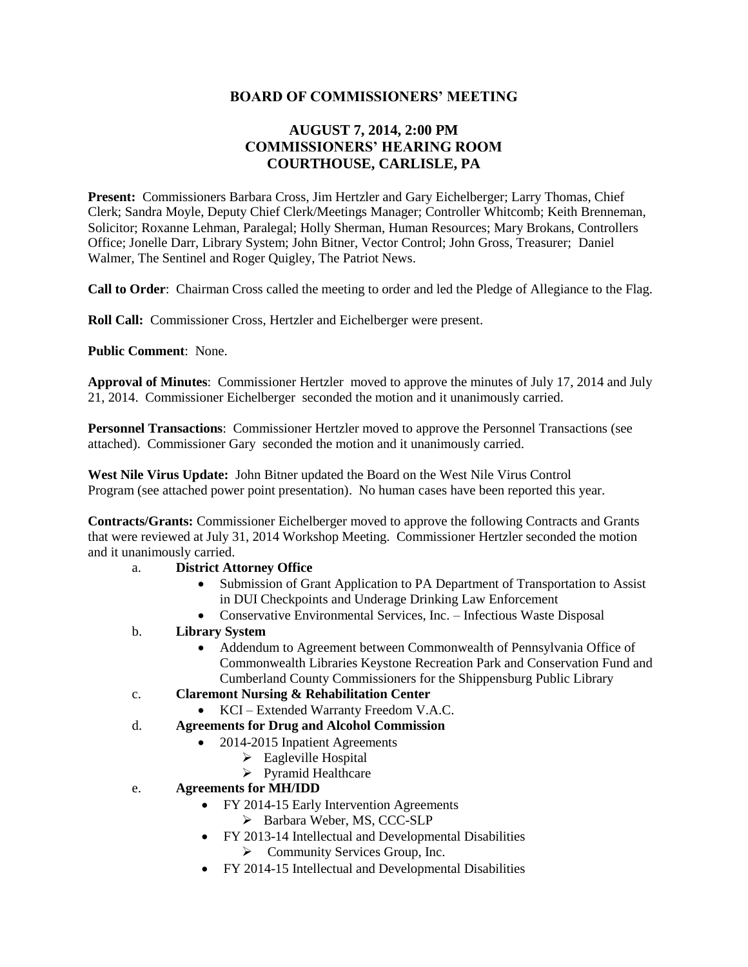## **BOARD OF COMMISSIONERS' MEETING**

# **AUGUST 7, 2014, 2:00 PM COMMISSIONERS' HEARING ROOM COURTHOUSE, CARLISLE, PA**

**Present:** Commissioners Barbara Cross, Jim Hertzler and Gary Eichelberger; Larry Thomas, Chief Clerk; Sandra Moyle, Deputy Chief Clerk/Meetings Manager; Controller Whitcomb; Keith Brenneman, Solicitor; Roxanne Lehman, Paralegal; Holly Sherman, Human Resources; Mary Brokans, Controllers Office; Jonelle Darr, Library System; John Bitner, Vector Control; John Gross, Treasurer; Daniel Walmer, The Sentinel and Roger Quigley, The Patriot News.

**Call to Order**: Chairman Cross called the meeting to order and led the Pledge of Allegiance to the Flag.

**Roll Call:** Commissioner Cross, Hertzler and Eichelberger were present.

**Public Comment**: None.

**Approval of Minutes**: Commissioner Hertzler moved to approve the minutes of July 17, 2014 and July 21, 2014. Commissioner Eichelberger seconded the motion and it unanimously carried.

**Personnel Transactions**: Commissioner Hertzler moved to approve the Personnel Transactions (see attached). Commissioner Gary seconded the motion and it unanimously carried.

**West Nile Virus Update:** John Bitner updated the Board on the West Nile Virus Control Program (see attached power point presentation). No human cases have been reported this year.

**Contracts/Grants:** Commissioner Eichelberger moved to approve the following Contracts and Grants that were reviewed at July 31, 2014 Workshop Meeting. Commissioner Hertzler seconded the motion and it unanimously carried.

- a. **District Attorney Office** 
	- Submission of Grant Application to PA Department of Transportation to Assist in DUI Checkpoints and Underage Drinking Law Enforcement
	- Conservative Environmental Services, Inc. Infectious Waste Disposal
- b. **Library System** 
	- Addendum to Agreement between Commonwealth of Pennsylvania Office of Commonwealth Libraries Keystone Recreation Park and Conservation Fund and Cumberland County Commissioners for the Shippensburg Public Library
- c. **Claremont Nursing & Rehabilitation Center** 
	- KCI Extended Warranty Freedom V.A.C.
- d. **Agreements for Drug and Alcohol Commission** 
	- 2014-2015 Inpatient Agreements
		- $\triangleright$  Eagleville Hospital
		- > Pyramid Healthcare
- e. **Agreements for MH/IDD** 
	- FY 2014-15 Early Intervention Agreements
		- Barbara Weber, MS, CCC-SLP
	- FY 2013-14 Intellectual and Developmental Disabilities  $\triangleright$  Community Services Group, Inc.
	- FY 2014-15 Intellectual and Developmental Disabilities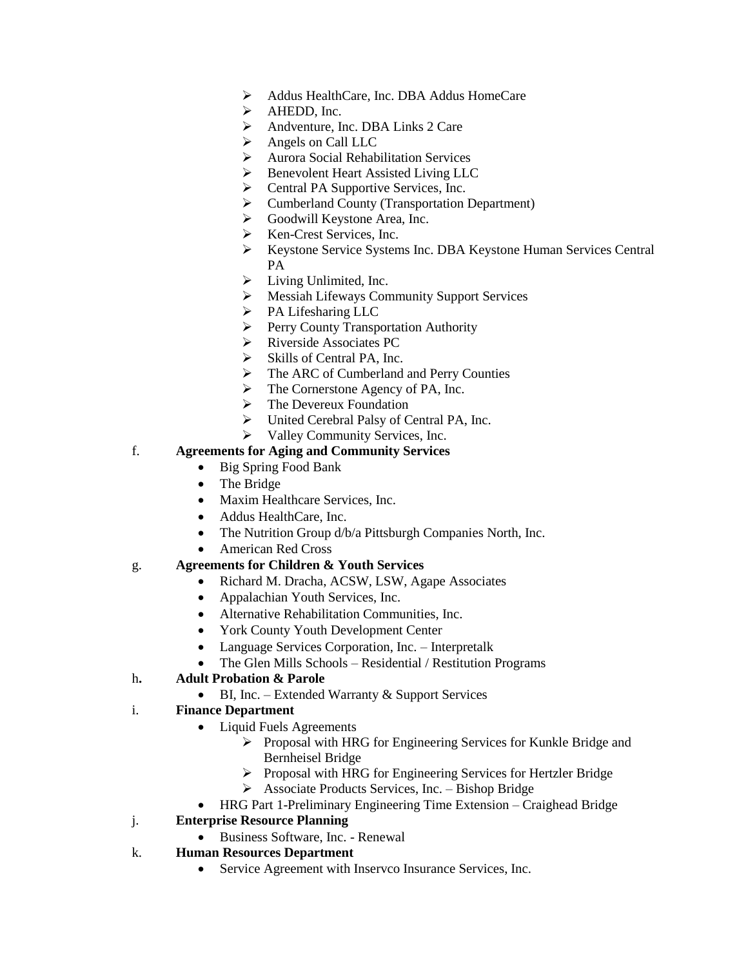- Addus HealthCare, Inc. DBA Addus HomeCare
- $\triangleright$  AHEDD, Inc.
- Andventure, Inc. DBA Links 2 Care
- Angels on Call LLC
- Aurora Social Rehabilitation Services
- Benevolent Heart Assisted Living LLC
- $\triangleright$  Central PA Supportive Services, Inc.
- Cumberland County (Transportation Department)
- Goodwill Keystone Area, Inc.
- $\triangleright$  Ken-Crest Services, Inc.
- Keystone Service Systems Inc. DBA Keystone Human Services Central PA
- $\blacktriangleright$  Living Unlimited, Inc.
- Messiah Lifeways Community Support Services
- > PA Lifesharing LLC
- Perry County Transportation Authority
- Riverside Associates PC
- $\triangleright$  Skills of Central PA, Inc.
- $\triangleright$  The ARC of Cumberland and Perry Counties
- The Cornerstone Agency of PA, Inc.
- $\triangleright$  The Devereux Foundation
- United Cerebral Palsy of Central PA, Inc.
- $\triangleright$  Valley Community Services, Inc.

## f. **Agreements for Aging and Community Services**

- Big Spring Food Bank
- The Bridge
- Maxim Healthcare Services, Inc.
- Addus HealthCare, Inc.
- The Nutrition Group  $d/b/a$  Pittsburgh Companies North, Inc.
- American Red Cross

#### g. **Agreements for Children & Youth Services**

- Richard M. Dracha, ACSW, LSW, Agape Associates
- Appalachian Youth Services, Inc.
- Alternative Rehabilitation Communities, Inc.
- York County Youth Development Center
- Language Services Corporation, Inc. Interpretalk
- The Glen Mills Schools Residential / Restitution Programs

#### h**. Adult Probation & Parole**

• BI, Inc. – Extended Warranty & Support Services

## i. **Finance Department**

- Liquid Fuels Agreements
	- Proposal with HRG for Engineering Services for Kunkle Bridge and Bernheisel Bridge
	- $\triangleright$  Proposal with HRG for Engineering Services for Hertzler Bridge
	- Associate Products Services, Inc. Bishop Bridge
- HRG Part 1-Preliminary Engineering Time Extension Craighead Bridge

## j. **Enterprise Resource Planning**

- Business Software, Inc. Renewal
- k. **Human Resources Department**
	- Service Agreement with Inservco Insurance Services, Inc.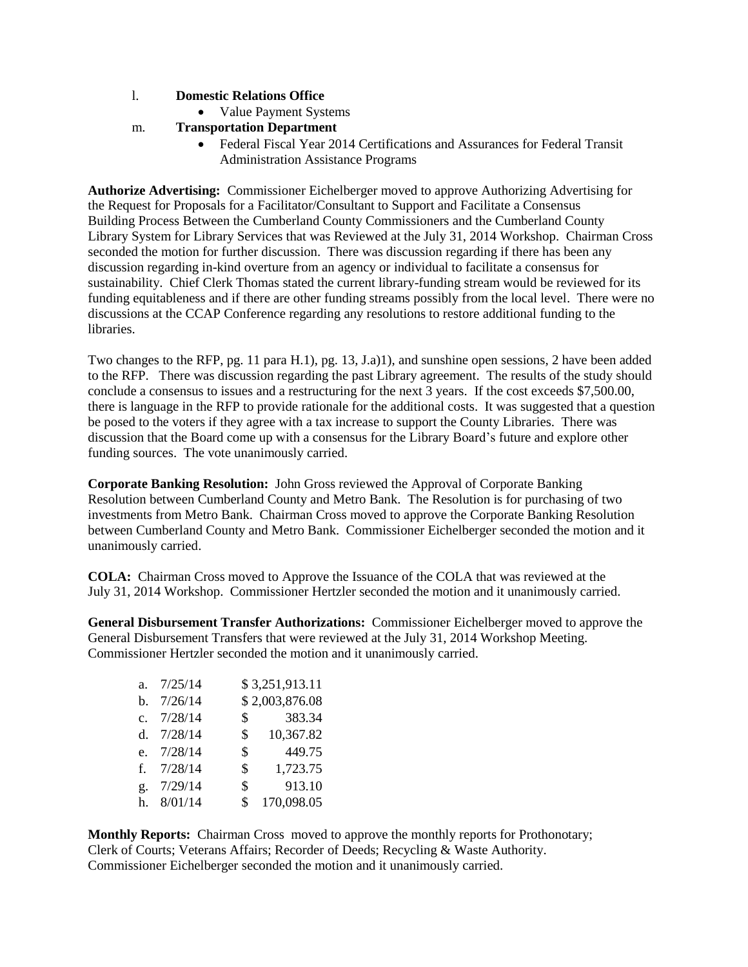#### l. **Domestic Relations Office**

- Value Payment Systems
- m. **Transportation Department**
	- Federal Fiscal Year 2014 Certifications and Assurances for Federal Transit Administration Assistance Programs

**Authorize Advertising:** Commissioner Eichelberger moved to approve Authorizing Advertising for the Request for Proposals for a Facilitator/Consultant to Support and Facilitate a Consensus Building Process Between the Cumberland County Commissioners and the Cumberland County Library System for Library Services that was Reviewed at the July 31, 2014 Workshop. Chairman Cross seconded the motion for further discussion. There was discussion regarding if there has been any discussion regarding in-kind overture from an agency or individual to facilitate a consensus for sustainability. Chief Clerk Thomas stated the current library-funding stream would be reviewed for its funding equitableness and if there are other funding streams possibly from the local level. There were no discussions at the CCAP Conference regarding any resolutions to restore additional funding to the libraries.

Two changes to the RFP, pg. 11 para H.1), pg. 13, J.a)1), and sunshine open sessions, 2 have been added to the RFP. There was discussion regarding the past Library agreement. The results of the study should conclude a consensus to issues and a restructuring for the next 3 years. If the cost exceeds \$7,500.00, there is language in the RFP to provide rationale for the additional costs. It was suggested that a question be posed to the voters if they agree with a tax increase to support the County Libraries. There was discussion that the Board come up with a consensus for the Library Board's future and explore other funding sources. The vote unanimously carried.

**Corporate Banking Resolution:** John Gross reviewed the Approval of Corporate Banking Resolution between Cumberland County and Metro Bank. The Resolution is for purchasing of two investments from Metro Bank. Chairman Cross moved to approve the Corporate Banking Resolution between Cumberland County and Metro Bank. Commissioner Eichelberger seconded the motion and it unanimously carried.

**COLA:** Chairman Cross moved to Approve the Issuance of the COLA that was reviewed at the July 31, 2014 Workshop. Commissioner Hertzler seconded the motion and it unanimously carried.

**General Disbursement Transfer Authorizations:** Commissioner Eichelberger moved to approve the General Disbursement Transfers that were reviewed at the July 31, 2014 Workshop Meeting. Commissioner Hertzler seconded the motion and it unanimously carried.

| a <sub>z</sub> | 7/25/14      |                | \$3,251,913.11 |
|----------------|--------------|----------------|----------------|
|                | b. $7/26/14$ |                | \$2,003,876.08 |
| $c_{\cdot}$    | 7/28/14      | $\mathbb{S}$   | 383.34         |
|                | d. $7/28/14$ | $\mathbb{S}^-$ | 10,367.82      |
|                | e. 7/28/14   | \$             | 449.75         |
|                | f. $7/28/14$ | \$             | 1,723.75       |
| g.             | 7/29/14      | \$             | 913.10         |
|                | 8/01/14      | \$             | 170,098.05     |

**Monthly Reports:** Chairman Cross moved to approve the monthly reports for Prothonotary; Clerk of Courts; Veterans Affairs; Recorder of Deeds; Recycling & Waste Authority. Commissioner Eichelberger seconded the motion and it unanimously carried.